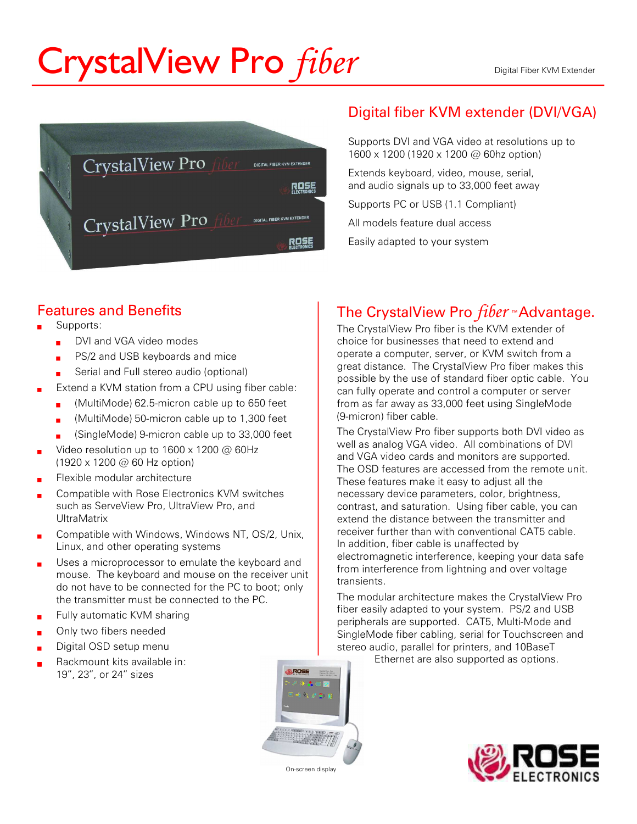# CrystalView Pro *fiber* Server Reserves the River KVM Extender



#### Digital fiber KVM extender (DVI/VGA)

Supports DVI and VGA video at resolutions up to 1600 x 1200 (1920 x 1200 @ 60hz option)

Extends keyboard, video, mouse, serial, and audio signals up to 33,000 feet away

Supports PC or USB (1.1 Compliant)

All models feature dual access

Easily adapted to your system

#### Features and Benefits

- Supports:
	- DVI and VGA video modes
	- PS/2 and USB keyboards and mice
	- Serial and Full stereo audio (optional)
- Extend a KVM station from a CPU using fiber cable:
	- ? (MultiMode) 62.5-micron cable up to 650 feet
	- ? (MultiMode) 50-micron cable up to 1,300 feet
	- ? (SingleMode) 9-micron cable up to 33,000 feet
- Video resolution up to  $1600 \times 1200$  @ 60Hz (1920 x 1200 @ 60 Hz option)
- ? Flexible modular architecture
- ? Compatible with Rose Electronics KVM switches such as ServeView Pro, UltraView Pro, and UltraMatrix
- Compatible with Windows, Windows NT, OS/2, Unix, Linux, and other operating systems
- Uses a microprocessor to emulate the keyboard and mouse. The keyboard and mouse on the receiver unit do not have to be connected for the PC to boot; only the transmitter must be connected to the PC.
- Fully automatic KVM sharing
- Only two fibers needed
- Digital OSD setup menu
- Rackmount kits available in: 19", 23", or 24" sizes

## The CrystalView Pro fiber ™Advantage.

The CrystalView Pro fiber is the KVM extender of choice for businesses that need to extend and operate a computer, server, or KVM switch from a great distance. The CrystalView Pro fiber makes this possible by the use of standard fiber optic cable. You can fully operate and control a computer or server from as far away as 33,000 feet using SingleMode (9-micron) fiber cable.

The CrystalView Pro fiber supports both DVI video as well as analog VGA video. All combinations of DVI and VGA video cards and monitors are supported. The OSD features are accessed from the remote unit. These features make it easy to adjust all the necessary device parameters, color, brightness, contrast, and saturation. Using fiber cable, you can extend the distance between the transmitter and receiver further than with conventional CAT5 cable. In addition, fiber cable is unaffected by electromagnetic interference, keeping your data safe from interference from lightning and over voltage transients.

The modular architecture makes the CrystalView Pro fiber easily adapted to your system. PS/2 and USB peripherals are supported. CAT5, Multi-Mode and SingleMode fiber cabling, serial for Touchscreen and stereo audio, parallel for printers, and 10BaseT

Ethernet are also supported as options.